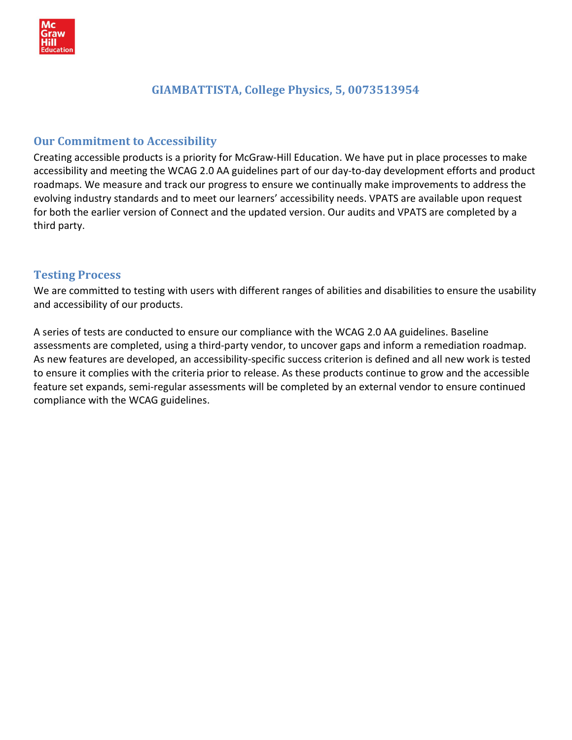

## GIAMBATTISTA, College Physics, 5, 0073513954

## Our Commitment to Accessibility

Creating accessible products is a priority for McGraw-Hill Education. We have put in place processes to make accessibility and meeting the WCAG 2.0 AA guidelines part of our day-to-day development efforts and product roadmaps. We measure and track our progress to ensure we continually make improvements to address the evolving industry standards and to meet our learners' accessibility needs. VPATS are available upon request for both the earlier version of Connect and the updated version. Our audits and VPATS are completed by a third party.

### Testing Process

We are committed to testing with users with different ranges of abilities and disabilities to ensure the usability and accessibility of our products.

A series of tests are conducted to ensure our compliance with the WCAG 2.0 AA guidelines. Baseline assessments are completed, using a third-party vendor, to uncover gaps and inform a remediation roadmap. As new features are developed, an accessibility-specific success criterion is defined and all new work is tested to ensure it complies with the criteria prior to release. As these products continue to grow and the accessible feature set expands, semi-regular assessments will be completed by an external vendor to ensure continued compliance with the WCAG guidelines.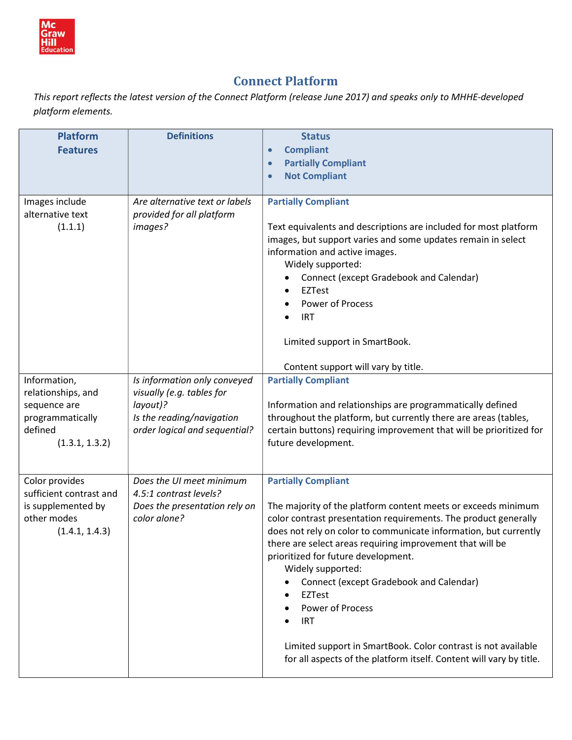

# Connect Platform

This report reflects the latest version of the Connect Platform (release June 2017) and speaks only to MHHE-developed platform elements.

| <b>Platform</b><br><b>Features</b>                                                                  | <b>Definitions</b>                                                                                                                  | <b>Status</b><br><b>Compliant</b><br>$\bullet$<br><b>Partially Compliant</b><br>$\bullet$<br><b>Not Compliant</b><br>$\bullet$                                                                                                                                                                                                                                                                                                                                                                                                                                                                    |
|-----------------------------------------------------------------------------------------------------|-------------------------------------------------------------------------------------------------------------------------------------|---------------------------------------------------------------------------------------------------------------------------------------------------------------------------------------------------------------------------------------------------------------------------------------------------------------------------------------------------------------------------------------------------------------------------------------------------------------------------------------------------------------------------------------------------------------------------------------------------|
| Images include<br>alternative text<br>(1.1.1)                                                       | Are alternative text or labels<br>provided for all platform<br>images?                                                              | <b>Partially Compliant</b><br>Text equivalents and descriptions are included for most platform<br>images, but support varies and some updates remain in select<br>information and active images.<br>Widely supported:<br>Connect (except Gradebook and Calendar)<br>EZTest<br>Power of Process<br><b>IRT</b><br>Limited support in SmartBook.<br>Content support will vary by title.                                                                                                                                                                                                              |
| Information,<br>relationships, and<br>sequence are<br>programmatically<br>defined<br>(1.3.1, 1.3.2) | Is information only conveyed<br>visually (e.g. tables for<br>layout)?<br>Is the reading/navigation<br>order logical and sequential? | <b>Partially Compliant</b><br>Information and relationships are programmatically defined<br>throughout the platform, but currently there are areas (tables,<br>certain buttons) requiring improvement that will be prioritized for<br>future development.                                                                                                                                                                                                                                                                                                                                         |
| Color provides<br>sufficient contrast and<br>is supplemented by<br>other modes<br>(1.4.1, 1.4.3)    | Does the UI meet minimum<br>4.5:1 contrast levels?<br>Does the presentation rely on<br>color alone?                                 | <b>Partially Compliant</b><br>The majority of the platform content meets or exceeds minimum<br>color contrast presentation requirements. The product generally<br>does not rely on color to communicate information, but currently<br>there are select areas requiring improvement that will be<br>prioritized for future development.<br>Widely supported:<br>Connect (except Gradebook and Calendar)<br>EZTest<br><b>Power of Process</b><br><b>IRT</b><br>Limited support in SmartBook. Color contrast is not available<br>for all aspects of the platform itself. Content will vary by title. |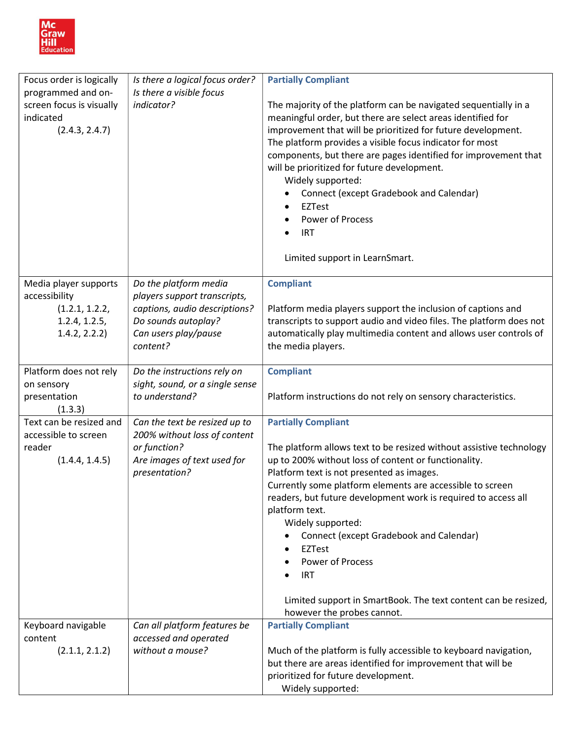

| Focus order is logically                                                                   | Is there a logical focus order?                                                                                                                   | <b>Partially Compliant</b>                                                                                                                                                                                                                                                                                                                                                                                                                                                                                                                                                                     |
|--------------------------------------------------------------------------------------------|---------------------------------------------------------------------------------------------------------------------------------------------------|------------------------------------------------------------------------------------------------------------------------------------------------------------------------------------------------------------------------------------------------------------------------------------------------------------------------------------------------------------------------------------------------------------------------------------------------------------------------------------------------------------------------------------------------------------------------------------------------|
| programmed and on-<br>screen focus is visually<br>indicated<br>(2.4.3, 2.4.7)              | Is there a visible focus<br>indicator?                                                                                                            | The majority of the platform can be navigated sequentially in a<br>meaningful order, but there are select areas identified for<br>improvement that will be prioritized for future development.<br>The platform provides a visible focus indicator for most<br>components, but there are pages identified for improvement that<br>will be prioritized for future development.<br>Widely supported:<br>Connect (except Gradebook and Calendar)<br><b>EZTest</b><br><b>Power of Process</b><br><b>IRT</b><br>Limited support in LearnSmart.                                                       |
| Media player supports<br>accessibility<br>(1.2.1, 1.2.2,<br>1.2.4, 1.2.5,<br>1.4.2, 2.2.2) | Do the platform media<br>players support transcripts,<br>captions, audio descriptions?<br>Do sounds autoplay?<br>Can users play/pause<br>content? | <b>Compliant</b><br>Platform media players support the inclusion of captions and<br>transcripts to support audio and video files. The platform does not<br>automatically play multimedia content and allows user controls of<br>the media players.                                                                                                                                                                                                                                                                                                                                             |
| Platform does not rely<br>on sensory<br>presentation<br>(1.3.3)                            | Do the instructions rely on<br>sight, sound, or a single sense<br>to understand?                                                                  | <b>Compliant</b><br>Platform instructions do not rely on sensory characteristics.                                                                                                                                                                                                                                                                                                                                                                                                                                                                                                              |
| Text can be resized and<br>accessible to screen<br>reader<br>(1.4.4, 1.4.5)                | Can the text be resized up to<br>200% without loss of content<br>or function?<br>Are images of text used for<br>presentation?                     | <b>Partially Compliant</b><br>The platform allows text to be resized without assistive technology<br>up to 200% without loss of content or functionality.<br>Platform text is not presented as images.<br>Currently some platform elements are accessible to screen<br>readers, but future development work is required to access all<br>platform text.<br>Widely supported:<br>Connect (except Gradebook and Calendar)<br><b>EZTest</b><br>$\bullet$<br><b>Power of Process</b><br><b>IRT</b><br>Limited support in SmartBook. The text content can be resized,<br>however the probes cannot. |
| Keyboard navigable<br>content<br>(2.1.1, 2.1.2)                                            | Can all platform features be<br>accessed and operated<br>without a mouse?                                                                         | <b>Partially Compliant</b><br>Much of the platform is fully accessible to keyboard navigation,<br>but there are areas identified for improvement that will be<br>prioritized for future development.<br>Widely supported:                                                                                                                                                                                                                                                                                                                                                                      |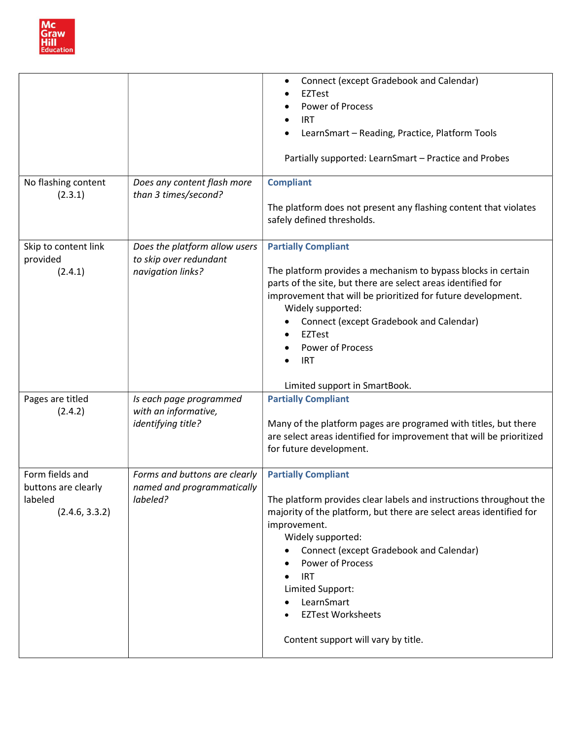

| No flashing content<br>(2.3.1)                                      | Does any content flash more<br>than 3 times/second?                          | Connect (except Gradebook and Calendar)<br>$\bullet$<br><b>EZTest</b><br>Power of Process<br><b>IRT</b><br>$\bullet$<br>LearnSmart - Reading, Practice, Platform Tools<br>Partially supported: LearnSmart - Practice and Probes<br><b>Compliant</b><br>The platform does not present any flashing content that violates<br>safely defined thresholds.                                          |
|---------------------------------------------------------------------|------------------------------------------------------------------------------|------------------------------------------------------------------------------------------------------------------------------------------------------------------------------------------------------------------------------------------------------------------------------------------------------------------------------------------------------------------------------------------------|
| Skip to content link<br>provided<br>(2.4.1)                         | Does the platform allow users<br>to skip over redundant<br>navigation links? | <b>Partially Compliant</b><br>The platform provides a mechanism to bypass blocks in certain<br>parts of the site, but there are select areas identified for<br>improvement that will be prioritized for future development.<br>Widely supported:<br><b>Connect (except Gradebook and Calendar)</b><br>EZTest<br>Power of Process<br><b>IRT</b><br>Limited support in SmartBook.                |
| Pages are titled<br>(2.4.2)                                         | Is each page programmed<br>with an informative,<br>identifying title?        | <b>Partially Compliant</b><br>Many of the platform pages are programed with titles, but there<br>are select areas identified for improvement that will be prioritized<br>for future development.                                                                                                                                                                                               |
| Form fields and<br>buttons are clearly<br>labeled<br>(2.4.6, 3.3.2) | Forms and buttons are clearly<br>named and programmatically<br>labeled?      | <b>Partially Compliant</b><br>The platform provides clear labels and instructions throughout the<br>majority of the platform, but there are select areas identified for<br>improvement.<br>Widely supported:<br>Connect (except Gradebook and Calendar)<br>Power of Process<br><b>IRT</b><br>Limited Support:<br>LearnSmart<br><b>EZTest Worksheets</b><br>Content support will vary by title. |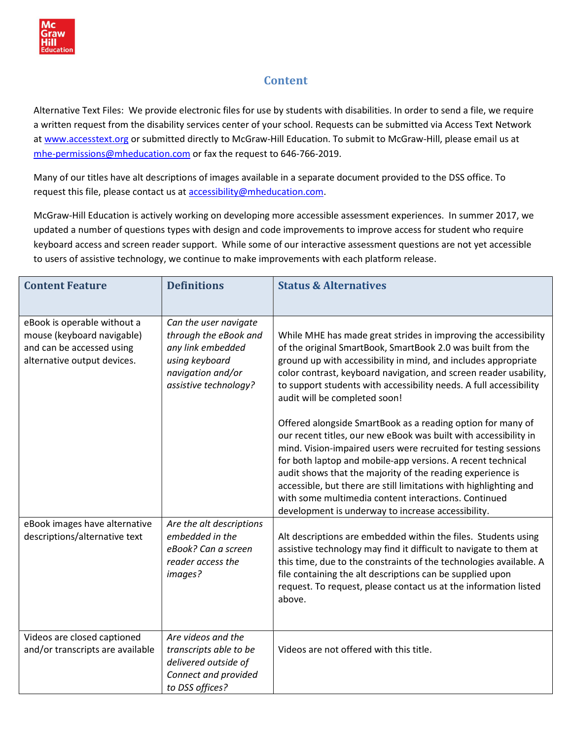

# **Content**

Alternative Text Files: We provide electronic files for use by students with disabilities. In order to send a file, we require a written request from the disability services center of your school. Requests can be submitted via Access Text Network at www.accesstext.org or submitted directly to McGraw-Hill Education. To submit to McGraw-Hill, please email us at mhe-permissions@mheducation.com or fax the request to 646-766-2019.

Many of our titles have alt descriptions of images available in a separate document provided to the DSS office. To request this file, please contact us at accessibility@mheducation.com.

McGraw-Hill Education is actively working on developing more accessible assessment experiences. In summer 2017, we updated a number of questions types with design and code improvements to improve access for student who require keyboard access and screen reader support. While some of our interactive assessment questions are not yet accessible to users of assistive technology, we continue to make improvements with each platform release.

| <b>Content Feature</b>                                                                                                | <b>Definitions</b>                                                                                                                  | <b>Status &amp; Alternatives</b>                                                                                                                                                                                                                                                                                                                                                                                                                                                                                   |
|-----------------------------------------------------------------------------------------------------------------------|-------------------------------------------------------------------------------------------------------------------------------------|--------------------------------------------------------------------------------------------------------------------------------------------------------------------------------------------------------------------------------------------------------------------------------------------------------------------------------------------------------------------------------------------------------------------------------------------------------------------------------------------------------------------|
| eBook is operable without a<br>mouse (keyboard navigable)<br>and can be accessed using<br>alternative output devices. | Can the user navigate<br>through the eBook and<br>any link embedded<br>using keyboard<br>navigation and/or<br>assistive technology? | While MHE has made great strides in improving the accessibility<br>of the original SmartBook, SmartBook 2.0 was built from the<br>ground up with accessibility in mind, and includes appropriate<br>color contrast, keyboard navigation, and screen reader usability,<br>to support students with accessibility needs. A full accessibility<br>audit will be completed soon!                                                                                                                                       |
|                                                                                                                       |                                                                                                                                     | Offered alongside SmartBook as a reading option for many of<br>our recent titles, our new eBook was built with accessibility in<br>mind. Vision-impaired users were recruited for testing sessions<br>for both laptop and mobile-app versions. A recent technical<br>audit shows that the majority of the reading experience is<br>accessible, but there are still limitations with highlighting and<br>with some multimedia content interactions. Continued<br>development is underway to increase accessibility. |
| eBook images have alternative<br>descriptions/alternative text                                                        | Are the alt descriptions<br>embedded in the<br>eBook? Can a screen<br>reader access the<br>images?                                  | Alt descriptions are embedded within the files. Students using<br>assistive technology may find it difficult to navigate to them at<br>this time, due to the constraints of the technologies available. A<br>file containing the alt descriptions can be supplied upon<br>request. To request, please contact us at the information listed<br>above.                                                                                                                                                               |
| Videos are closed captioned<br>and/or transcripts are available                                                       | Are videos and the<br>transcripts able to be<br>delivered outside of<br>Connect and provided<br>to DSS offices?                     | Videos are not offered with this title.                                                                                                                                                                                                                                                                                                                                                                                                                                                                            |